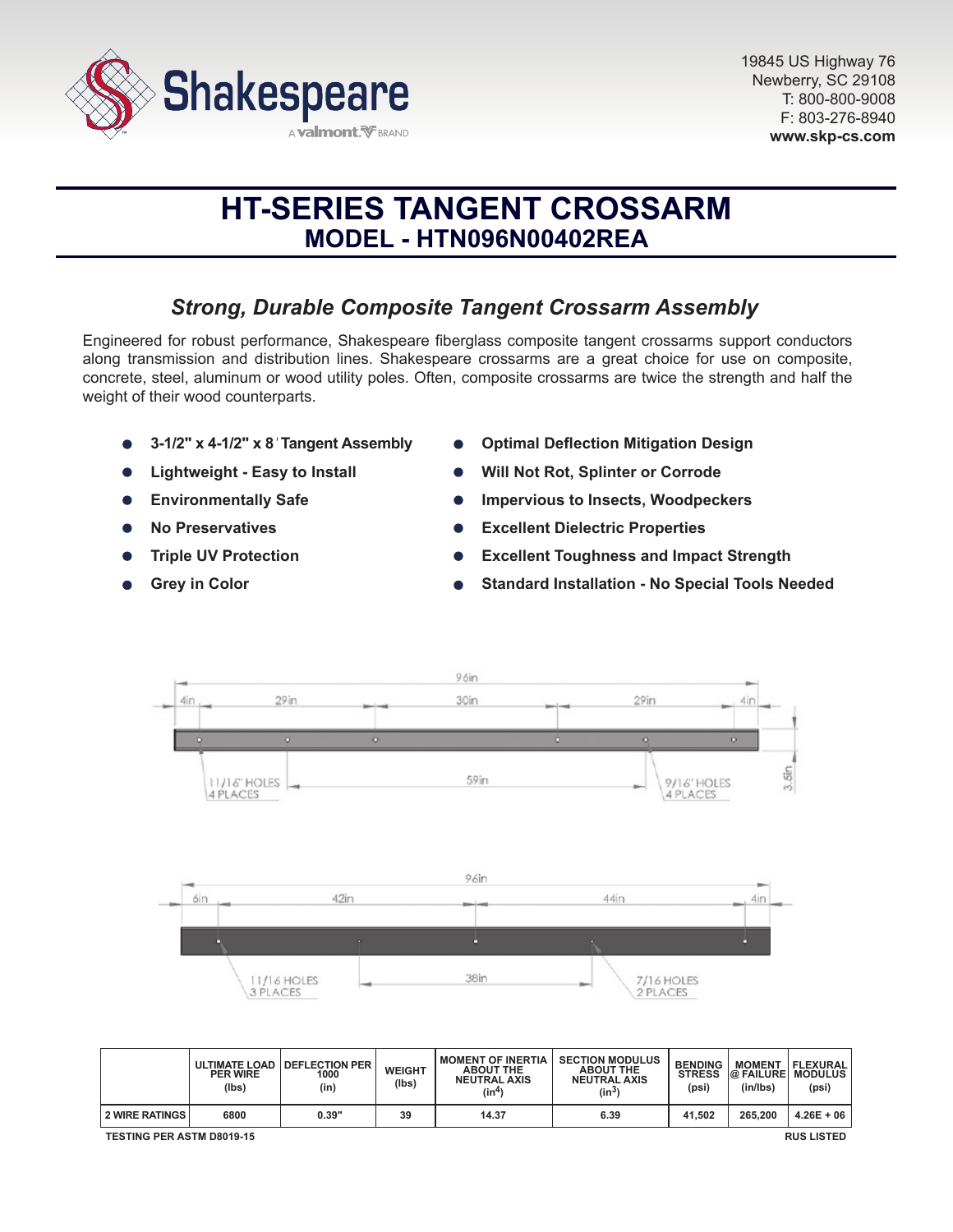

# **HT-SERIES TANGENT CROSSARM MODEL - HTN096N00402REA**

# *Strong, Durable Composite Tangent Crossarm Assembly*

Engineered for robust performance, Shakespeare fiberglass composite tangent crossarms support conductors along transmission and distribution lines. Shakespeare crossarms are a great choice for use on composite, concrete, steel, aluminum or wood utility poles. Often, composite crossarms are twice the strength and half the weight of their wood counterparts.

- **3-1/2" x 4-1/2" x 8***'* **Tangent Assembly**
- **Lightweight Easy to Install**
- **Environmentally Safe**  $\bullet$
- **No Preservatives**
- **Triple UV Protection**
- **Grey in Color**
- **Optimal Deflection Mitigation Design**
- **Will Not Rot, Splinter or Corrode**
- **Impervious to Insects, Woodpeckers**
- **Excellent Dielectric Properties**  $\bullet$
- **Excellent Toughness and Impact Strength**
- **Standard Installation No Special Tools Needed**



|                                                       | <b>ULTIMATE LOAD</b><br><b>PER WIRE</b><br>(lbs) | <b>I DEFLECTION PER</b><br>1000<br>(in) | <b>WEIGHT</b><br>(lbs) | <b>MOMENT OF INERTIA</b><br><b>ABOUT THE</b><br><b>NEUTRAL AXIS</b><br>(in <sup>4</sup> ) | <b>SECTION MODULUS</b><br><b>ABOUT THE</b><br><b>NEUTRAL AXIS</b><br>(in $^{3)}$ | <b>BENDING</b><br><b>STRESS</b><br>(psi) | <b>MOMENT</b><br><b>@ FAILURE MODULUS</b><br>(in/lbs) | FLEXURAL  <br>(psi) |
|-------------------------------------------------------|--------------------------------------------------|-----------------------------------------|------------------------|-------------------------------------------------------------------------------------------|----------------------------------------------------------------------------------|------------------------------------------|-------------------------------------------------------|---------------------|
| <b>2 WIRE RATINGS</b>                                 | 6800                                             | 0.39"                                   | 39                     | 14.37                                                                                     | 6.39                                                                             | 41.502                                   | 265.200                                               | $4.26E + 06$        |
| <b>TESTING PER ASTM D8019-15</b><br><b>RUS LISTED</b> |                                                  |                                         |                        |                                                                                           |                                                                                  |                                          |                                                       |                     |